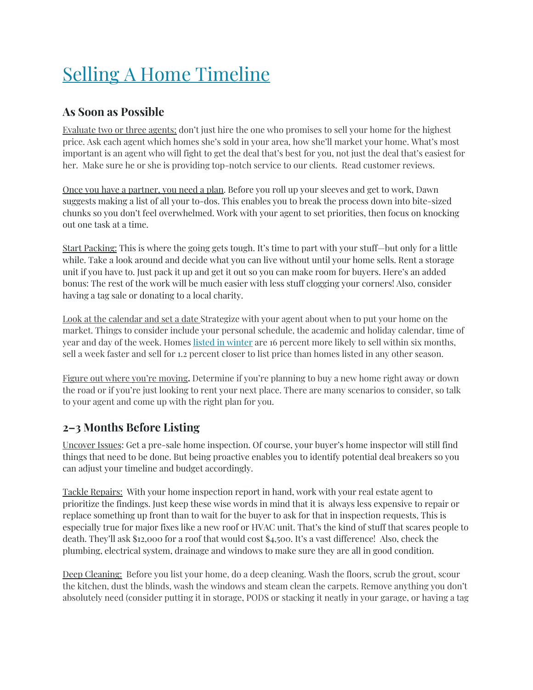# Selling A Home [Timeline](https://www.redfin.com/blog/home-selling-guide)

# **As Soon as Possible**

Evaluate two or three agents; don't just hire the one who promises to sell your home for the highest price. Ask each agent which homes she's sold in your area, how she'll market your home. What's most important is an agent who will fight to get the deal that's best for you, not just the deal that's easiest for her. Make sure he or she is providing top-notch service to our clients. Read customer reviews.

Once you have a partner, you need a plan. Before you roll up your sleeves and get to work, Dawn suggests making a list of all your to-dos. This enables you to break the process down into bite-sized chunks so you don't feel overwhelmed. Work with your agent to set priorities, then focus on knocking out one task at a time.

Start Packing: This is where the going gets tough. It's time to part with your stuff—but only for a little while. Take a look around and decide what you can live without until your home sells. Rent a storage unit if you have to. Just pack it up and get it out so you can make room for buyers. Here's an added bonus: The rest of the work will be much easier with less stuff clogging your corners! Also, consider having a tag sale or donating to a local charity.

Look at the calendar and set a date Strategize with your agent about when to put your home on the market. Things to consider include your personal schedule, the academic and holiday calendar, time of year and day of the week. Homes listed in [winter](https://www.redfin.com/blog/2013/12/why-winter-is-the-hottest-time-to-sell-your-home.html) are 16 percent more likely to sell within six months, sell a week faster and sell for 1.2 percent closer to list price than homes listed in any other season.

Figure out where you're moving**.** Determine if you're planning to buy a new home right away or down the road or if you're just looking to rent your next place. There are many scenarios to consider, so talk to your agent and come up with the right plan for you.

# **2–3 Months Before Listing**

Uncover Issues: Get a pre-sale home inspection. Of course, your buyer's home inspector will still find things that need to be done. But being proactive enables you to identify potential deal breakers so you can adjust your timeline and budget accordingly.

Tackle Repairs: With your home inspection report in hand, work with your real estate agent to prioritize the findings. Just keep these wise words in mind that it is always less expensive to repair or replace something up front than to wait for the buyer to ask for that in inspection requests, This is especially true for major fixes like a new roof or HVAC unit. That's the kind of stuff that scares people to death. They'll ask \$12,000 for a roof that would cost \$4,500. It's a vast difference! Also, check the plumbing, electrical system, drainage and windows to make sure they are all in good condition.

Deep Cleaning: Before you list your home, do a deep cleaning. Wash the floors, scrub the grout, scour the kitchen, dust the blinds, wash the windows and steam clean the carpets. Remove anything you don't absolutely need (consider putting it in storage, PODS or stacking it neatly in your garage, or having a tag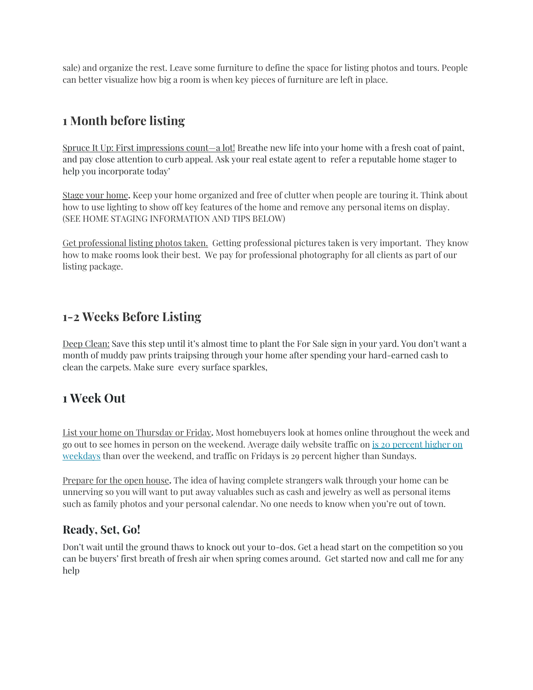sale) and organize the rest. Leave some furniture to define the space for listing photos and tours. People can better visualize how big a room is when key pieces of furniture are left in place.

# **1 Month before listing**

Spruce It Up: First impressions count—a lot! Breathe new life into your home with a fresh coat of paint, and pay close attention to curb appeal. Ask your real estate agent to refer a reputable home stager to help you incorporate today'

Stage your home**.** Keep your home organized and free of clutter when people are touring it. Think about how to use lighting to show off key features of the home and remove any personal items on display. (SEE HOME STAGING INFORMATION AND TIPS BELOW)

Get professional listing photos taken. Getting professional pictures taken is very important. They know how to make rooms look their best. We pay for professional photography for all clients as part of our listing package.

# **1-2 Weeks Before Listing**

Deep Clean: Save this step until it's almost time to plant the For Sale sign in your yard. You don't want a month of muddy paw prints traipsing through your home after spending your hard-earned cash to clean the carpets. Make sure every surface sparkles,

# **1 Week Out**

List your home on Thursday or Friday**.** Most homebuyers look at homes online throughout the week and go out to see homes in person on the weekend. Average daily website traffic on is 20 [percent](https://www.redfin.com/blog/2013/02/top_five_home_selling_tips_from_redfin.html) higher on [weekdays](https://www.redfin.com/blog/2013/02/top_five_home_selling_tips_from_redfin.html) than over the weekend, and traffic on Fridays is 29 percent higher than Sundays.

Prepare for the open house**.** The idea of having complete strangers walk through your home can be unnerving so you will want to put away valuables such as cash and jewelry as well as personal items such as family photos and your personal calendar. No one needs to know when you're out of town.

### **Ready, Set, Go!**

Don't wait until the ground thaws to knock out your to-dos. Get a head start on the competition so you can be buyers' first breath of fresh air when spring comes around. Get started now and call me for any help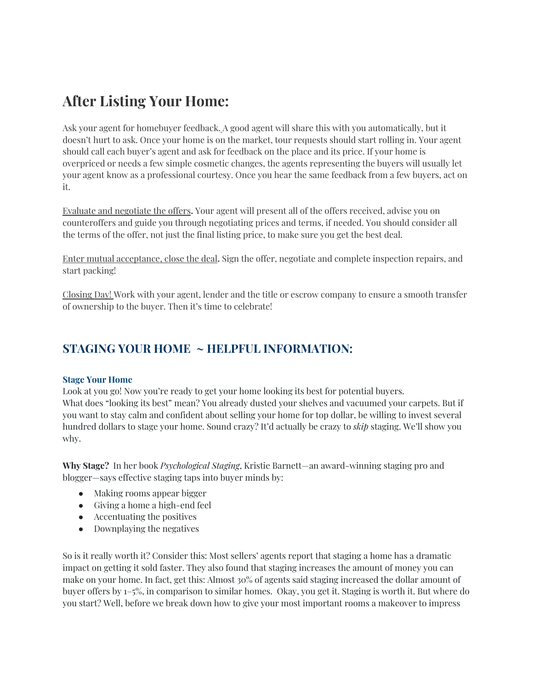# **After Listing Your Home:**

Ask your agent for homebuyer feedback. A good agent will share this with you automatically, but it doesn't hurt to ask. Once your home is on the market, tour requests should start rolling in. Your agent should call each buyer's agent and ask for feedback on the place and its price. If your home is overpriced or needs a few simple cosmetic changes, the agents representing the buyers will usually let your agent know as a professional courtesy. Once you hear the same feedback from a few buyers, act on it.

Evaluate and negotiate the offers**.** Your agent will present all of the offers received, advise you on counteroffers and guide you through negotiating prices and terms, if needed. You should consider all the terms of the offer, not just the final listing price, to make sure you get the best deal.

Enter mutual acceptance, close the deal**.** Sign the offer, negotiate and complete inspection repairs, and start packing!

Closing Day! Work with your agent, lender and the title or escrow company to ensure a smooth transfer of ownership to the buyer. Then it's time to celebrate!

# **STAGING YOUR HOME ~ HELPFUL INFORMATION:**

### **Stage Your Home**

Look at you go! Now you're ready to get your home looking its best for potential buyers. What does "looking its best" mean? You already dusted your shelves and vacuumed your carpets. But if you want to stay calm and confident about selling your home for top dollar, be willing to invest several hundred dollars to stage your home. Sound crazy? It'd actually be crazy to *skip* staging. We'll show you why.

**Why Stage?** In her book *Psychological Staging*, Kristie Barnett—an award-winning staging pro and blogger—says effective staging taps into buyer minds by:

- Making rooms appear bigger
- Giving a home a high-end feel
- Accentuating the positives
- Downplaying the negatives

So is it really worth it? Consider this: Most sellers' agents report that staging a home has a dramatic impact on getting it sold faster. They also found that staging increases the amount of money you can make on your home. In fact, get this: Almost 30% of agents said staging increased the dollar amount of buyer offers by 1–5%, in comparison to similar homes. Okay, you get it. Staging is worth it. But where do you start? Well, before we break down how to give your most important rooms a makeover to impress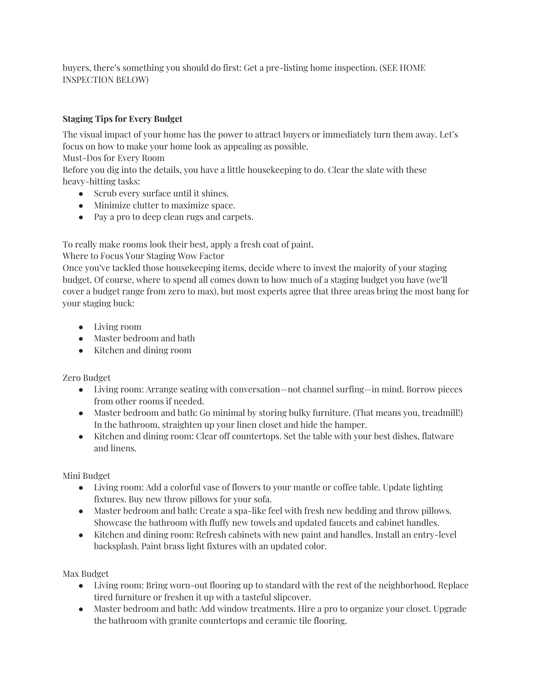buyers, there's something you should do first: Get a pre-listing home inspection. (SEE HOME INSPECTION BELOW)

### **Staging Tips for Every Budget**

The visual impact of your home has the power to attract buyers or immediately turn them away. Let's focus on how to make your home look as appealing as possible.

Must-Dos for Every Room

Before you dig into the details, you have a little housekeeping to do. Clear the slate with these heavy-hitting tasks:

- Scrub every surface until it shines.
- Minimize clutter to maximize space.
- Pay a pro to deep clean rugs and carpets.

To really make rooms look their best, apply a fresh coat of paint.

Where to Focus Your Staging Wow Factor

Once you've tackled those housekeeping items, decide where to invest the majority of your staging budget. Of course, where to spend all comes down to how much of a staging budget you have (we'll cover a budget range from zero to max), but most experts agree that three areas bring the most bang for your staging buck:

- Living room
- Master bedroom and bath
- Kitchen and dining room

Zero Budget

- Living room: Arrange seating with conversation—not channel surfing—in mind. Borrow pieces from other rooms if needed.
- Master bedroom and bath: Go minimal by storing bulky furniture. (That means you, treadmill!) In the bathroom, straighten up your linen closet and hide the hamper.
- Kitchen and dining room: Clear off countertops. Set the table with your best dishes, flatware and linens.

Mini Budget

- Living room: Add a colorful vase of flowers to your mantle or coffee table. Update lighting fixtures. Buy new throw pillows for your sofa.
- Master bedroom and bath: Create a spa-like feel with fresh new bedding and throw pillows. Showcase the bathroom with fluffy new towels and updated faucets and cabinet handles.
- Kitchen and dining room: Refresh cabinets with new paint and handles. Install an entry-level backsplash. Paint brass light fixtures with an updated color.

Max Budget

- Living room: Bring worn-out flooring up to standard with the rest of the neighborhood. Replace tired furniture or freshen it up with a tasteful slipcover.
- Master bedroom and bath: Add window treatments. Hire a pro to organize your closet. Upgrade the bathroom with granite countertops and ceramic tile flooring.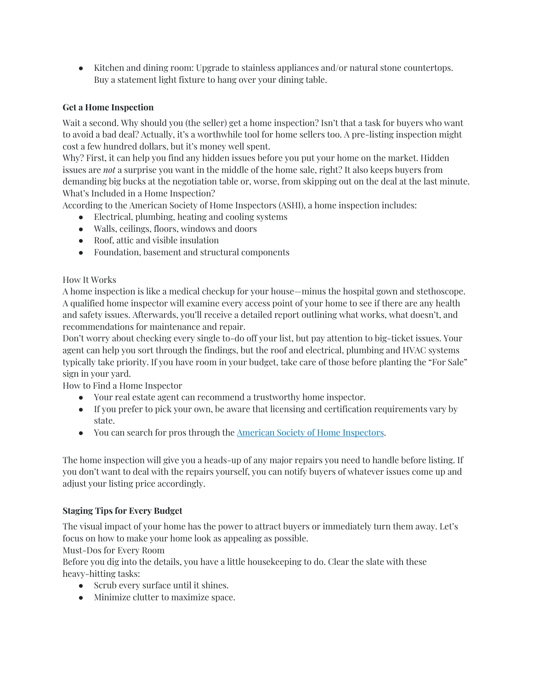• Kitchen and dining room: Upgrade to stainless appliances and/or natural stone countertops. Buy a statement light fixture to hang over your dining table.

### **Get a Home Inspection**

Wait a second. Why should you (the seller) get a home inspection? Isn't that a task for buyers who want to avoid a bad deal? Actually, it's a worthwhile tool for home sellers too. A pre-listing inspection might cost a few hundred dollars, but it's money well spent.

Why? First, it can help you find any hidden issues before you put your home on the market. Hidden issues are *not* a surprise you want in the middle of the home sale, right? It also keeps buyers from demanding big bucks at the negotiation table or, worse, from skipping out on the deal at the last minute. What's Included in a Home Inspection?

According to the American Society of Home Inspectors (ASHI), a home inspection includes:

- Electrical, plumbing, heating and cooling systems
- Walls, ceilings, floors, windows and doors
- Roof, attic and visible insulation
- Foundation, basement and structural components

### How It Works

A home inspection is like a medical checkup for your house—minus the hospital gown and stethoscope. A qualified home inspector will examine every access point of your home to see if there are any health and safety issues. Afterwards, you'll receive a detailed report outlining what works, what doesn't, and recommendations for maintenance and repair.

Don't worry about checking every single to-do off your list, but pay attention to big-ticket issues. Your agent can help you sort through the findings, but the roof and electrical, plumbing and HVAC systems typically take priority. If you have room in your budget, take care of those before planting the "For Sale" sign in your yard.

How to Find a Home Inspector

- Your real estate agent can recommend a trustworthy home inspector.
- If you prefer to pick your own, be aware that licensing and certification requirements vary by state.
- You can search for pros through the American Society of Home [Inspectors](https://www.homeinspector.org/).

The home inspection will give you a heads-up of any major repairs you need to handle before listing. If you don't want to deal with the repairs yourself, you can notify buyers of whatever issues come up and adjust your listing price accordingly.

### **Staging Tips for Every Budget**

The visual impact of your home has the power to attract buyers or immediately turn them away. Let's focus on how to make your home look as appealing as possible.

Must-Dos for Every Room

Before you dig into the details, you have a little housekeeping to do. Clear the slate with these heavy-hitting tasks:

- Scrub every surface until it shines.
- Minimize clutter to maximize space.